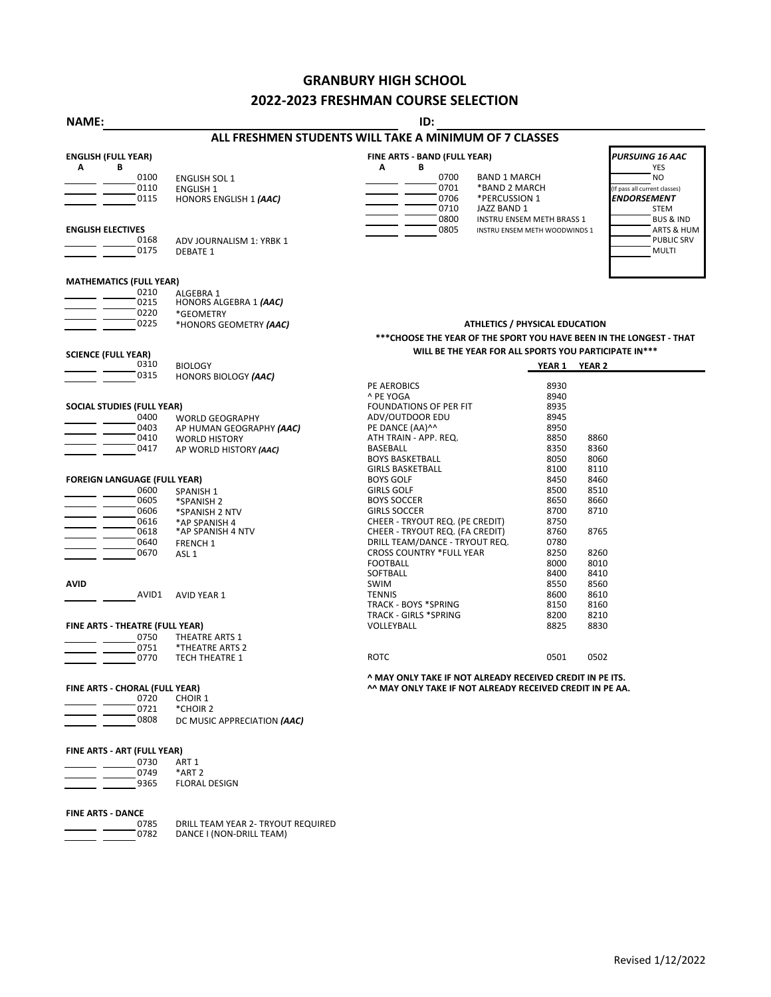## **GRANBURY HIGH SCHOOL 2022-2023 FRESHMAN COURSE SELECTION**

| NAME:                               |                                            | ID:                                                                  |                                  |                               |
|-------------------------------------|--------------------------------------------|----------------------------------------------------------------------|----------------------------------|-------------------------------|
|                                     |                                            | ALL FRESHMEN STUDENTS WILL TAKE A MINIMUM OF 7 CLASSES               |                                  |                               |
| <b>ENGLISH (FULL YEAR)</b>          |                                            | FINE ARTS - BAND (FULL YEAR)                                         |                                  | PURSUING 16 AAC               |
| Α<br>В<br>0100                      |                                            | В<br>A<br>0700<br><b>BAND 1 MARCH</b>                                |                                  | <b>YES</b><br>NO              |
| 0110                                | <b>ENGLISH SOL 1</b>                       | 0701<br>*BAND 2 MARCH                                                |                                  | (If pass all current classes) |
| 0115                                | <b>ENGLISH 1</b><br>HONORS ENGLISH 1 (AAC) | 0706<br>*PERCUSSION 1                                                |                                  | ENDORSEMENT                   |
|                                     |                                            | 0710<br>JAZZ BAND 1                                                  |                                  | <b>STEM</b>                   |
|                                     |                                            | 0800                                                                 | <b>INSTRU ENSEM METH BRASS 1</b> | <b>BUS &amp; IND</b>          |
| <b>ENGLISH ELECTIVES</b>            |                                            | 0805                                                                 | INSTRU ENSEM METH WOODWINDS 1    | ARTS & HUM                    |
| 0168                                | ADV JOURNALISM 1: YRBK 1                   |                                                                      |                                  | <b>PUBLIC SRV</b>             |
| 0175                                | <b>DEBATE 1</b>                            |                                                                      |                                  | <b>MULTI</b>                  |
| <b>MATHEMATICS (FULL YEAR)</b>      |                                            |                                                                      |                                  |                               |
| 0210                                | ALGEBRA 1                                  |                                                                      |                                  |                               |
| 0215                                | HONORS ALGEBRA 1 (AAC)                     |                                                                      |                                  |                               |
| 0220                                | *GEOMETRY                                  |                                                                      |                                  |                               |
| 0225                                | *HONORS GEOMETRY (AAC)                     | ATHLETICS / PHYSICAL EDUCATION                                       |                                  |                               |
|                                     |                                            | *** CHOOSE THE YEAR OF THE SPORT YOU HAVE BEEN IN THE LONGEST - THAT |                                  |                               |
| <b>SCIENCE (FULL YEAR)</b>          |                                            | WILL BE THE YEAR FOR ALL SPORTS YOU PARTICIPATE IN***                |                                  |                               |
| 0310                                | <b>BIOLOGY</b>                             |                                                                      | YEAR 1 YEAR 2                    |                               |
| 0315                                | HONORS BIOLOGY (AAC)                       |                                                                      |                                  |                               |
|                                     |                                            | PE AEROBICS                                                          | 8930                             |                               |
|                                     |                                            | ^ PE YOGA                                                            | 8940                             |                               |
| <b>SOCIAL STUDIES (FULL YEAR)</b>   |                                            | FOUNDATIONS OF PER FIT                                               | 8935                             |                               |
| 0400                                | <b>WORLD GEOGRAPHY</b>                     | ADV/OUTDOOR EDU                                                      | 8945                             |                               |
| 0403                                | AP HUMAN GEOGRAPHY (AAC)                   | PE DANCE (AA)^^                                                      | 8950                             |                               |
| 0410                                | <b>WORLD HISTORY</b>                       | ATH TRAIN - APP. REQ.                                                | 8850                             | 8860                          |
| 0417                                | AP WORLD HISTORY (AAC)                     | BASEBALL<br><b>BOYS BASKETBALL</b>                                   | 8350<br>8050                     | 8360<br>8060                  |
|                                     |                                            | <b>GIRLS BASKETBALL</b>                                              | 8100                             | 8110                          |
| <b>FOREIGN LANGUAGE (FULL YEAR)</b> |                                            | <b>BOYS GOLF</b>                                                     | 8450                             | 8460                          |
| 0600                                | SPANISH 1                                  | <b>GIRLS GOLF</b>                                                    | 8500                             | 8510                          |
| 0605                                | *SPANISH 2                                 | <b>BOYS SOCCER</b>                                                   | 8650                             | 8660                          |
| 0606                                | *SPANISH 2 NTV                             | <b>GIRLS SOCCER</b>                                                  | 8700                             | 8710                          |
| 0616                                | *AP SPANISH 4                              | CHEER - TRYOUT REQ. (PE CREDIT)                                      | 8750                             |                               |
| 0618                                | *AP SPANISH 4 NTV                          | CHEER - TRYOUT REQ. (FA CREDIT)                                      | 8760                             | 8765                          |
| 0640                                | <b>FRENCH 1</b>                            | DRILL TEAM/DANCE - TRYOUT REQ.                                       | 0780                             |                               |
| 0670                                | ASL <sub>1</sub>                           | <b>CROSS COUNTRY *FULL YEAR</b>                                      | 8250                             | 8260                          |
|                                     |                                            | <b>FOOTBALL</b>                                                      | 8000                             | 8010                          |
| <b>AVID</b>                         |                                            | SOFTBALL<br><b>SWIM</b>                                              | 8400                             | 8410                          |
| AVID1                               |                                            | <b>TENNIS</b>                                                        | 8550<br>8600                     | 8560<br>8610                  |
|                                     | <b>AVID YEAR 1</b>                         | <b>TRACK - BOYS *SPRING</b>                                          | 8150                             | 8160                          |
|                                     |                                            | TRACK - GIRLS *SPRING                                                | 8200                             | 8210                          |
| FINE ARTS - THEATRE (FULL YEAR)     |                                            | VOLLEYBALL                                                           | 8825                             | 8830                          |
| 0750                                | THEATRE ARTS 1                             |                                                                      |                                  |                               |
| 0751                                | *THEATRE ARTS 2                            |                                                                      |                                  |                               |
| 0770                                | <b>TECH THEATRE 1</b>                      | <b>ROTC</b>                                                          | 0501                             | 0502                          |
|                                     |                                            | A MAY ONLY TAKE IF NOT ALREADY RECEIVED CREDIT IN PE ITS.            |                                  |                               |
| FINE ARTS - CHORAL (FULL YEAR)      |                                            | AA MAY ONLY TAKE IF NOT ALREADY RECEIVED CREDIT IN PE AA.            |                                  |                               |
| 0720<br>0721                        | CHOIR 1<br>*CHOIR 2                        |                                                                      |                                  |                               |
| 0808                                |                                            |                                                                      |                                  |                               |
|                                     | DC MUSIC APPRECIATION (AAC)                |                                                                      |                                  |                               |

## **FINE ARTS - ART (FULL YEAR)**

| 0730 | ART 1                |  |
|------|----------------------|--|
| 0749 | *ART <sub>2</sub>    |  |
| 9365 | <b>FLORAL DESIGN</b> |  |
|      |                      |  |

**FINE ARTS - DANCE**

 $\overline{\phantom{a}}$ <u>.</u>

0785 DRILL TEAM YEAR 2- TRYOUT REQUIRED 0782 DANCE I (NON-DRILL TEAM)